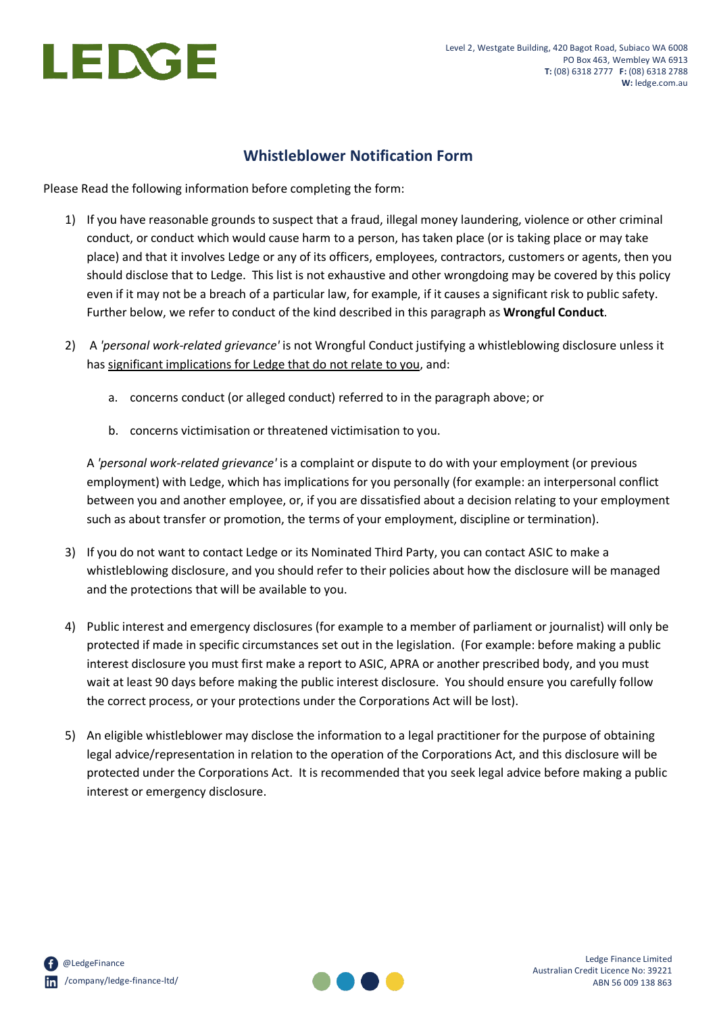

# **Whistleblower Notification Form**

Please Read the following information before completing the form:

- 1) If you have reasonable grounds to suspect that a fraud, illegal money laundering, violence or other criminal conduct, or conduct which would cause harm to a person, has taken place (or is taking place or may take place) and that it involves Ledge or any of its officers, employees, contractors, customers or agents, then you should disclose that to Ledge. This list is not exhaustive and other wrongdoing may be covered by this policy even if it may not be a breach of a particular law, for example, if it causes a significant risk to public safety. Further below, we refer to conduct of the kind described in this paragraph as **Wrongful Conduct**.
- 2) A *'personal work-related grievance'* is not Wrongful Conduct justifying a whistleblowing disclosure unless it has significant implications for Ledge that do not relate to you, and:
	- a. concerns conduct (or alleged conduct) referred to in the paragraph above; or
	- b. concerns victimisation or threatened victimisation to you.

A *'personal work-related grievance'* is a complaint or dispute to do with your employment (or previous employment) with Ledge, which has implications for you personally (for example: an interpersonal conflict between you and another employee, or, if you are dissatisfied about a decision relating to your employment such as about transfer or promotion, the terms of your employment, discipline or termination).

- 3) If you do not want to contact Ledge or its Nominated Third Party, you can contact ASIC to make a whistleblowing disclosure, and you should refer to their policies about how the disclosure will be managed and the protections that will be available to you.
- 4) Public interest and emergency disclosures (for example to a member of parliament or journalist) will only be protected if made in specific circumstances set out in the legislation. (For example: before making a public interest disclosure you must first make a report to ASIC, APRA or another prescribed body, and you must wait at least 90 days before making the public interest disclosure. You should ensure you carefully follow the correct process, or your protections under the Corporations Act will be lost).
- 5) An eligible whistleblower may disclose the information to a legal practitioner for the purpose of obtaining legal advice/representation in relation to the operation of the Corporations Act, and this disclosure will be protected under the Corporations Act. It is recommended that you seek legal advice before making a public interest or emergency disclosure.

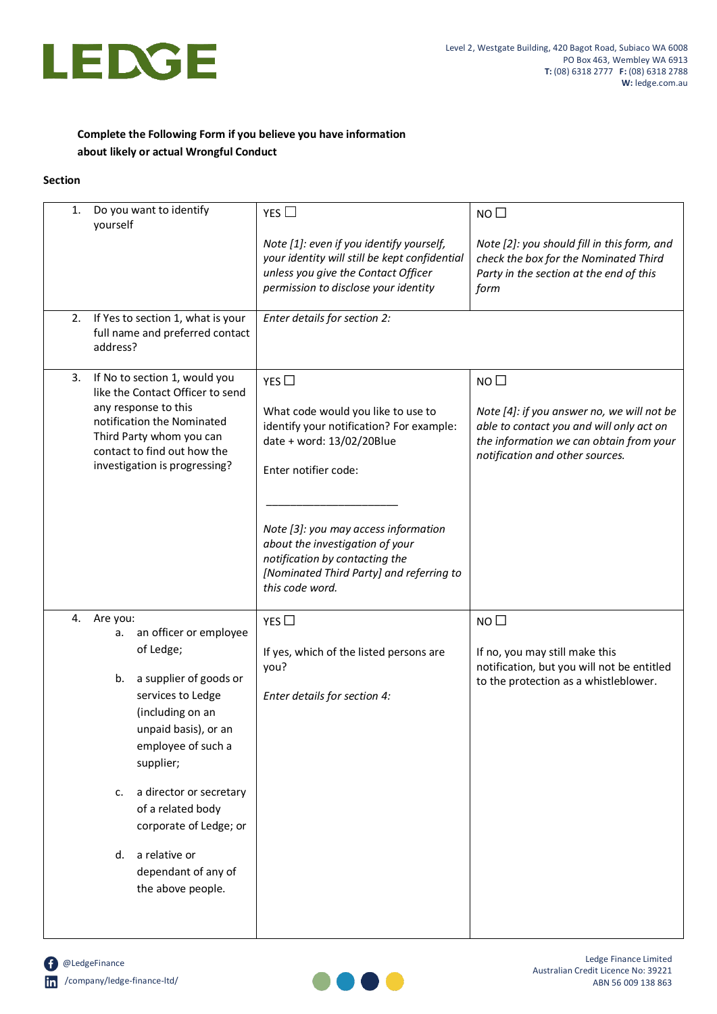

## **Complete the Following Form if you believe you have information about likely or actual Wrongful Conduct**

#### **Section**

| 1. | Do you want to identify<br>yourself                                                                                                                                                                                                                                                                                                                      | YES $\square$                                                                                                                                                                                                                                                                                                                 | NO <sub>0</sub>                                                                                                                                                                         |
|----|----------------------------------------------------------------------------------------------------------------------------------------------------------------------------------------------------------------------------------------------------------------------------------------------------------------------------------------------------------|-------------------------------------------------------------------------------------------------------------------------------------------------------------------------------------------------------------------------------------------------------------------------------------------------------------------------------|-----------------------------------------------------------------------------------------------------------------------------------------------------------------------------------------|
|    |                                                                                                                                                                                                                                                                                                                                                          | Note [1]: even if you identify yourself,<br>your identity will still be kept confidential<br>unless you give the Contact Officer<br>permission to disclose your identity                                                                                                                                                      | Note [2]: you should fill in this form, and<br>check the box for the Nominated Third<br>Party in the section at the end of this<br>form                                                 |
| 2. | If Yes to section 1, what is your<br>full name and preferred contact<br>address?                                                                                                                                                                                                                                                                         | Enter details for section 2:                                                                                                                                                                                                                                                                                                  |                                                                                                                                                                                         |
| 3. | If No to section 1, would you<br>like the Contact Officer to send<br>any response to this<br>notification the Nominated<br>Third Party whom you can<br>contact to find out how the<br>investigation is progressing?                                                                                                                                      | YES $\Box$<br>What code would you like to use to<br>identify your notification? For example:<br>date + word: 13/02/20Blue<br>Enter notifier code:<br>Note [3]: you may access information<br>about the investigation of your<br>notification by contacting the<br>[Nominated Third Party] and referring to<br>this code word. | NO <sub>1</sub><br>Note [4]: if you answer no, we will not be<br>able to contact you and will only act on<br>the information we can obtain from your<br>notification and other sources. |
| 4. | Are you:<br>an officer or employee<br>а.<br>of Ledge;<br>a supplier of goods or<br>b.<br>services to Ledge<br>(including on an<br>unpaid basis), or an<br>employee of such a<br>supplier;<br>a director or secretary<br>$\mathsf{C}$ .<br>of a related body<br>corporate of Ledge; or<br>a relative or<br>d.<br>dependant of any of<br>the above people. | YES<br>If yes, which of the listed persons are<br>you?<br>Enter details for section 4:                                                                                                                                                                                                                                        | NO <sub>1</sub><br>If no, you may still make this<br>notification, but you will not be entitled<br>to the protection as a whistleblower.                                                |
|    |                                                                                                                                                                                                                                                                                                                                                          |                                                                                                                                                                                                                                                                                                                               |                                                                                                                                                                                         |

**C** @LedgeFinance /company/ledge-finance-ltd/

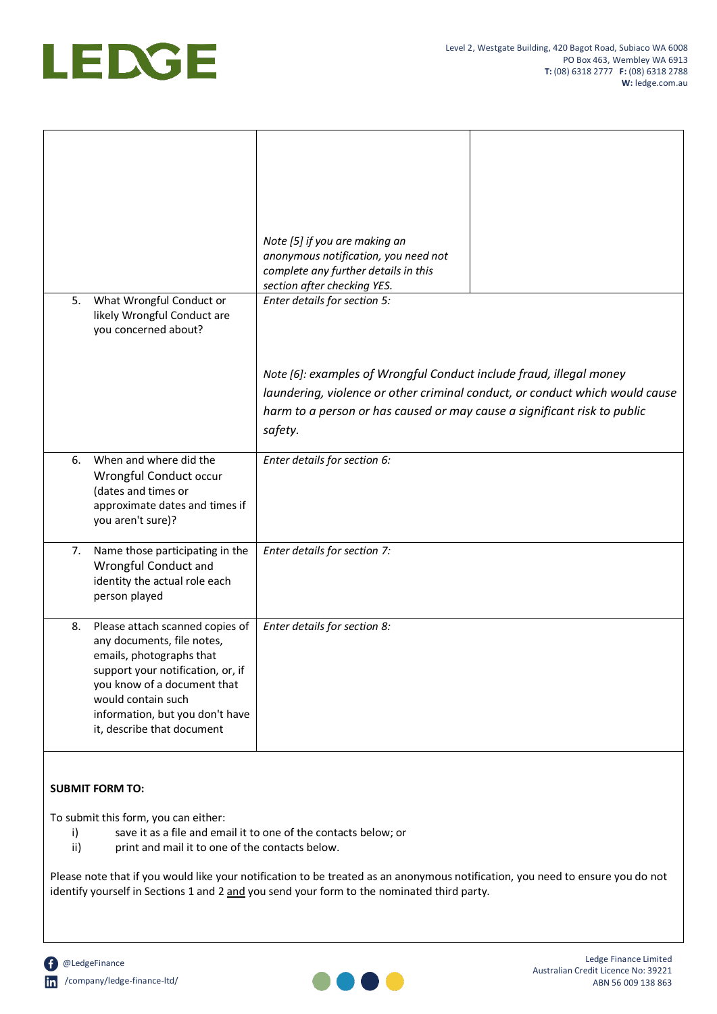

|    |                                                                                                                                                                                                                                                      | Note [5] if you are making an<br>anonymous notification, you need not<br>complete any further details in this<br>section after checking YES. |                                                                              |
|----|------------------------------------------------------------------------------------------------------------------------------------------------------------------------------------------------------------------------------------------------------|----------------------------------------------------------------------------------------------------------------------------------------------|------------------------------------------------------------------------------|
| 5. | What Wrongful Conduct or<br>likely Wrongful Conduct are<br>you concerned about?                                                                                                                                                                      | Enter details for section 5:<br>Note [6]: examples of Wrongful Conduct include fraud, illegal money                                          |                                                                              |
|    |                                                                                                                                                                                                                                                      | harm to a person or has caused or may cause a significant risk to public<br>safety.                                                          | laundering, violence or other criminal conduct, or conduct which would cause |
| 6. | When and where did the<br>Wrongful Conduct occur<br>(dates and times or<br>approximate dates and times if<br>you aren't sure)?                                                                                                                       | Enter details for section 6:                                                                                                                 |                                                                              |
| 7. | Name those participating in the<br>Wrongful Conduct and<br>identity the actual role each<br>person played                                                                                                                                            | Enter details for section 7:                                                                                                                 |                                                                              |
| 8. | Please attach scanned copies of<br>any documents, file notes,<br>emails, photographs that<br>support your notification, or, if<br>you know of a document that<br>would contain such<br>information, but you don't have<br>it, describe that document | Enter details for section 8:                                                                                                                 |                                                                              |

### **SUBMIT FORM TO:**

To submit this form, you can either:

- i) save it as a file and email it to one of the contacts below; or
- ii) print and mail it to one of the contacts below.

Please note that if you would like your notification to be treated as an anonymous notification, you need to ensure you do not identify yourself in Sections 1 and 2 and you send your form to the nominated third party.